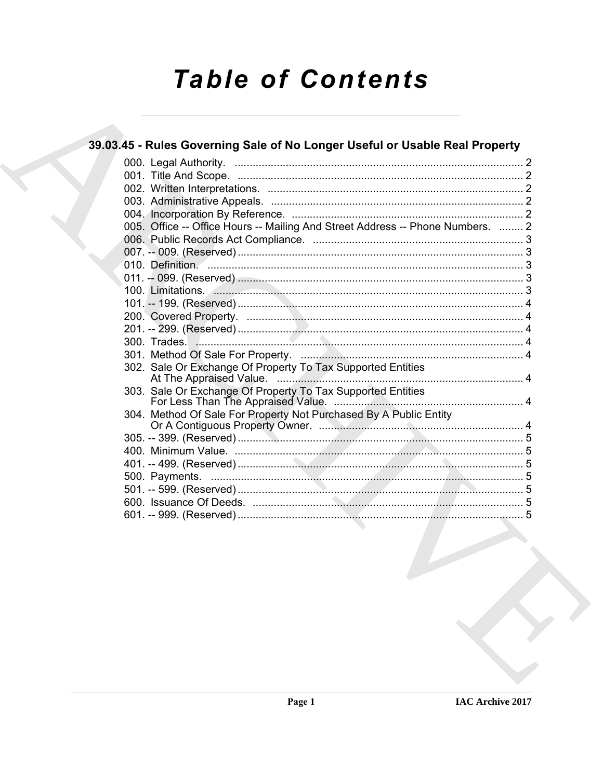# **Table of Contents**

# 39.03.45 - Rules Governing Sale of No Longer Useful or Usable Real Property

| 005. Office -- Office Hours -- Mailing And Street Address -- Phone Numbers.  2 |  |
|--------------------------------------------------------------------------------|--|
|                                                                                |  |
|                                                                                |  |
|                                                                                |  |
|                                                                                |  |
|                                                                                |  |
|                                                                                |  |
|                                                                                |  |
|                                                                                |  |
|                                                                                |  |
|                                                                                |  |
| 302. Sale Or Exchange Of Property To Tax Supported Entities                    |  |
|                                                                                |  |
| 303. Sale Or Exchange Of Property To Tax Supported Entities                    |  |
|                                                                                |  |
| 304. Method Of Sale For Property Not Purchased By A Public Entity              |  |
|                                                                                |  |
|                                                                                |  |
|                                                                                |  |
|                                                                                |  |
|                                                                                |  |
|                                                                                |  |
|                                                                                |  |
|                                                                                |  |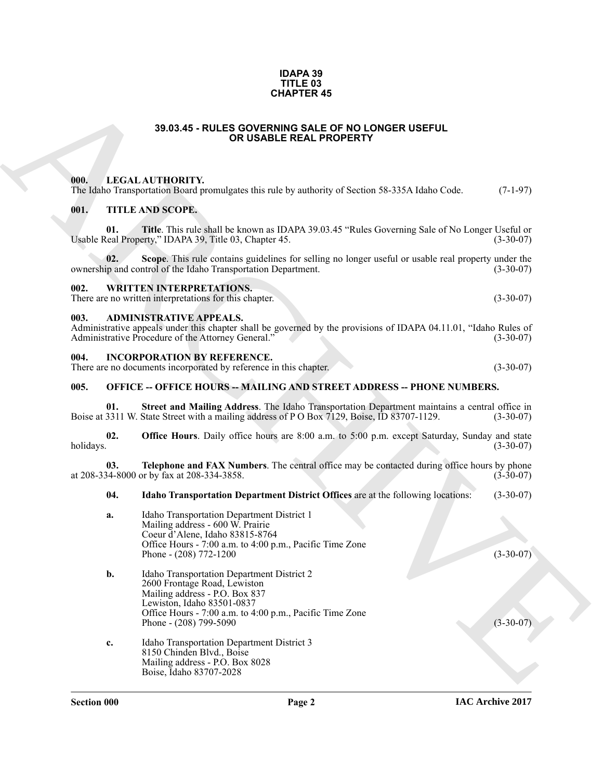# **IDAPA 39 TITLE 03 CHAPTER 45**

# **39.03.45 - RULES GOVERNING SALE OF NO LONGER USEFUL OR USABLE REAL PROPERTY**

### <span id="page-1-1"></span><span id="page-1-0"></span>**000. LEGAL AUTHORITY.**  $\frac{1}{2}$

<span id="page-1-2"></span>

| The Rano Transportation Doard promulgates this rule by authority of Section Jo-JJJH Rano Code.        | 1/-1-1/1    |
|-------------------------------------------------------------------------------------------------------|-------------|
| 001.<br><b>TITLE AND SCOPE.</b>                                                                       |             |
| <b>Title.</b> This rule shall be known as IDAPA 39.03.45 "Rules Governing Sale of No Longer Useful or |             |
| Usable Real Property," IDAPA 39, Title 03, Chapter 45.                                                | $(3-30-07)$ |

# <span id="page-1-3"></span>**002. WRITTEN INTERPRETATIONS.**

# <span id="page-1-4"></span>**003. ADMINISTRATIVE APPEALS.**

# <span id="page-1-5"></span>**004. INCORPORATION BY REFERENCE.**

# <span id="page-1-6"></span>**005. OFFICE -- OFFICE HOURS -- MAILING AND STREET ADDRESS -- PHONE NUMBERS.**

# **04. Idaho Transportation Department District Offices** are at the following locations: (3-30-07)

| <b>CHAPTER 45</b>                                                                                                                                |                                                                                                                                                                                                          |                 |  |  |  |
|--------------------------------------------------------------------------------------------------------------------------------------------------|----------------------------------------------------------------------------------------------------------------------------------------------------------------------------------------------------------|-----------------|--|--|--|
|                                                                                                                                                  | 39.03.45 - RULES GOVERNING SALE OF NO LONGER USEFUL<br>OR USABLE REAL PROPERTY                                                                                                                           |                 |  |  |  |
| 000.                                                                                                                                             | LEGAL AUTHORITY.<br>The Idaho Transportation Board promulgates this rule by authority of Section 58-335A Idaho Code.                                                                                     | $(7-1-97)$      |  |  |  |
| 001.<br>01.                                                                                                                                      | <b>TITLE AND SCOPE.</b><br>Title. This rule shall be known as IDAPA 39.03.45 "Rules Governing Sale of No Longer Useful or<br>Usable Real Property," IDAPA 39, Title 03, Chapter 45.                      | $(3-30-07)$     |  |  |  |
| 02.                                                                                                                                              | Scope. This rule contains guidelines for selling no longer useful or usable real property under the<br>ownership and control of the Idaho Transportation Department.                                     | $(3-30-07)$     |  |  |  |
| 002.                                                                                                                                             | <b>WRITTEN INTERPRETATIONS.</b><br>There are no written interpretations for this chapter.                                                                                                                | $(3-30-07)$     |  |  |  |
| 003.                                                                                                                                             | <b>ADMINISTRATIVE APPEALS.</b><br>Administrative appeals under this chapter shall be governed by the provisions of IDAPA 04.11.01, "Idaho Rules of<br>Administrative Procedure of the Attorney General." | $(3-30-07)$     |  |  |  |
| 004.                                                                                                                                             | <b>INCORPORATION BY REFERENCE.</b><br>There are no documents incorporated by reference in this chapter.                                                                                                  | $(3-30-07)$     |  |  |  |
| 005.                                                                                                                                             | <b>OFFICE -- OFFICE HOURS -- MAILING AND STREET ADDRESS -- PHONE NUMBERS.</b>                                                                                                                            |                 |  |  |  |
| 01.                                                                                                                                              | Street and Mailing Address. The Idaho Transportation Department maintains a central office in<br>Boise at 3311 W. State Street with a mailing address of P O Box 7129, Boise, ID 83707-1129.             | $(3-30-07)$     |  |  |  |
| 02.<br>holidays.                                                                                                                                 | <b>Office Hours</b> . Daily office hours are 8:00 a.m. to 5:00 p.m. except Saturday, Sunday and state                                                                                                    | $(3-30-07)$     |  |  |  |
| Telephone and FAX Numbers. The central office may be contacted during office hours by phone<br>03.<br>at 208-334-8000 or by fax at 208-334-3858. |                                                                                                                                                                                                          | $(3 - 30 - 07)$ |  |  |  |
| 04.                                                                                                                                              | Idaho Transportation Department District Offices are at the following locations:                                                                                                                         | $(3-30-07)$     |  |  |  |
| a.                                                                                                                                               | Idaho Transportation Department District 1<br>Mailing address - 600 W. Prairie<br>Coeur d'Alene, Idaho 83815-8764<br>Office Hours - 7:00 a.m. to 4:00 p.m., Pacific Time Zone                            |                 |  |  |  |
| b.                                                                                                                                               | Phone - (208) 772-1200<br>Idaho Transportation Department District 2                                                                                                                                     | $(3-30-07)$     |  |  |  |
|                                                                                                                                                  | 2600 Frontage Road, Lewiston<br>Mailing address - P.O. Box 837<br>Lewiston, Idaho 83501-0837<br>Office Hours - 7:00 a.m. to 4:00 p.m., Pacific Time Zone<br>Phone - (208) 799-5090                       | $(3 - 30 - 07)$ |  |  |  |
| c.                                                                                                                                               | Idaho Transportation Department District 3<br>8150 Chinden Blvd., Boise<br>Mailing address - P.O. Box 8028<br>Boise, Idaho 83707-2028                                                                    |                 |  |  |  |
|                                                                                                                                                  |                                                                                                                                                                                                          |                 |  |  |  |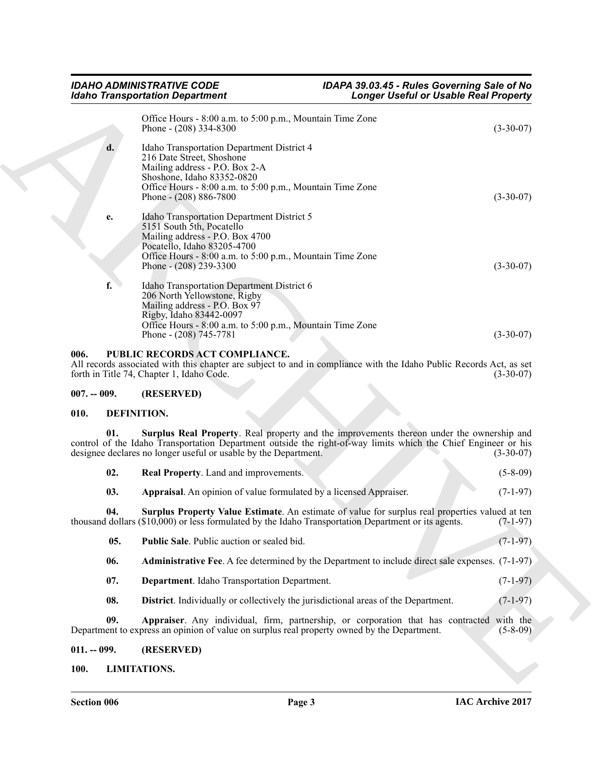# *IDAHO ADMINISTRATIVE CODE IDAPA 39.03.45 - Rules Governing Sale of No Idaho Transportation Department Longer Useful or Usable Real Property*

|               | <b>Idaho Transportation Department</b>                                                                                                                                                                                                                                         | <b>Longer Useful or Usable Real Property</b> |
|---------------|--------------------------------------------------------------------------------------------------------------------------------------------------------------------------------------------------------------------------------------------------------------------------------|----------------------------------------------|
|               | Office Hours - 8:00 a.m. to 5:00 p.m., Mountain Time Zone<br>Phone - (208) 334-8300                                                                                                                                                                                            | $(3-30-07)$                                  |
| d.            | Idaho Transportation Department District 4<br>216 Date Street, Shoshone<br>Mailing address - P.O. Box 2-A<br>Shoshone, Idaho 83352-0820<br>Office Hours - 8:00 a.m. to 5:00 p.m., Mountain Time Zone<br>Phone - (208) 886-7800                                                 | $(3-30-07)$                                  |
| e.            | Idaho Transportation Department District 5<br>5151 South 5th, Pocatello<br>Mailing address - P.O. Box 4700<br>Pocatello, Idaho 83205-4700<br>Office Hours - 8:00 a.m. to 5:00 p.m., Mountain Time Zone<br>Phone - (208) 239-3300                                               | $(3-30-07)$                                  |
| f.            | Idaho Transportation Department District 6<br>206 North Yellowstone, Rigby<br>Mailing address - P.O. Box 97<br>Rigby, Idaho 83442-0097<br>Office Hours - 8:00 a.m. to 5:00 p.m., Mountain Time Zone<br>Phone - (208) 745-7781                                                  | $(3-30-07)$                                  |
| 006.          | PUBLIC RECORDS ACT COMPLIANCE.<br>All records associated with this chapter are subject to and in compliance with the Idaho Public Records Act, as set<br>forth in Title 74, Chapter 1, Idaho Code.                                                                             | $(3-30-07)$                                  |
| $007. - 009.$ | (RESERVED)                                                                                                                                                                                                                                                                     |                                              |
| 010.          | <b>DEFINITION.</b>                                                                                                                                                                                                                                                             |                                              |
| 01.           | Surplus Real Property. Real property and the improvements thereon under the ownership and<br>control of the Idaho Transportation Department outside the right-of-way limits which the Chief Engineer or his<br>designee declares no longer useful or usable by the Department. |                                              |
| 02.           | <b>Real Property.</b> Land and improvements.                                                                                                                                                                                                                                   | $(5 - 8 - 09)$                               |
| 03.           | <b>Appraisal.</b> An opinion of value formulated by a licensed Appraiser.                                                                                                                                                                                                      | $(7-1-97)$                                   |
| 04.           | Surplus Property Value Estimate. An estimate of value for surplus real properties valued at ten<br>thousand dollars (\$10,000) or less formulated by the Idaho Transportation Department or its agents.                                                                        | $(7-1-97)$                                   |
| 05.           | Public Sale. Public auction or sealed bid.                                                                                                                                                                                                                                     | $(7-1-97)$                                   |
| 06.           | <b>Administrative Fee.</b> A fee determined by the Department to include direct sale expenses. (7-1-97)                                                                                                                                                                        |                                              |
| 07.           | <b>Department.</b> Idaho Transportation Department.                                                                                                                                                                                                                            | $(7-1-97)$                                   |
| 08.           | <b>District</b> . Individually or collectively the jurisdictional areas of the Department.                                                                                                                                                                                     | $(7-1-97)$                                   |
| 09.           | Appraiser. Any individual, firm, partnership, or corporation that has contracted with the<br>Department to express an opinion of value on surplus real property owned by the Department.                                                                                       | $(5-8-09)$                                   |
|               |                                                                                                                                                                                                                                                                                |                                              |
| $011. - 099.$ | (RESERVED)                                                                                                                                                                                                                                                                     |                                              |

# <span id="page-2-14"></span><span id="page-2-5"></span><span id="page-2-2"></span><span id="page-2-1"></span><span id="page-2-0"></span>**010. DEFINITION.**

<span id="page-2-13"></span><span id="page-2-12"></span><span id="page-2-11"></span><span id="page-2-7"></span><span id="page-2-6"></span>

| 02. | <b>Real Property.</b> Land and improvements.                                                                                                                                                            | $(5-8-09)$ |
|-----|---------------------------------------------------------------------------------------------------------------------------------------------------------------------------------------------------------|------------|
| 03. | <b>Appraisal.</b> An opinion of value formulated by a licensed Appraiser.                                                                                                                               | $(7-1-97)$ |
| 04. | Surplus Property Value Estimate. An estimate of value for surplus real properties valued at ten<br>thousand dollars (\$10,000) or less formulated by the Idaho Transportation Department or its agents. | $(7-1-97)$ |
| 05. | <b>Public Sale.</b> Public auction or sealed bid.                                                                                                                                                       | $(7-1-97)$ |
| 06. | <b>Administrative Fee.</b> A fee determined by the Department to include direct sale expenses. (7-1-97)                                                                                                 |            |
| 07. | <b>Department.</b> Idaho Transportation Department.                                                                                                                                                     | $(7-1-97)$ |
|     |                                                                                                                                                                                                         |            |

# <span id="page-2-10"></span><span id="page-2-9"></span><span id="page-2-8"></span><span id="page-2-3"></span>**011. -- 099. (RESERVED)**

# <span id="page-2-15"></span><span id="page-2-4"></span>**100. LIMITATIONS.**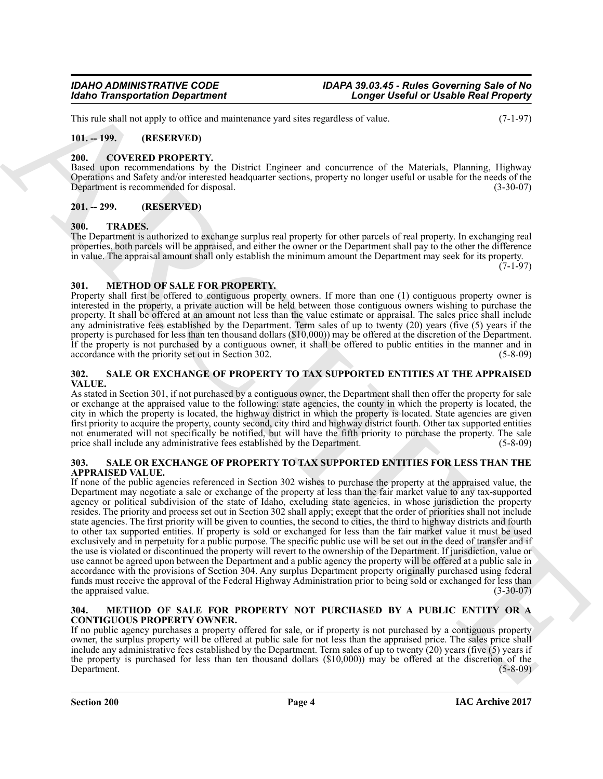This rule shall not apply to office and maintenance yard sites regardless of value. (7-1-97)

# <span id="page-3-0"></span>**101. -- 199. (RESERVED)**

# <span id="page-3-8"></span><span id="page-3-1"></span>**200. COVERED PROPERTY.**

Based upon recommendations by the District Engineer and concurrence of the Materials, Planning, Highway Operations and Safety and/or interested headquarter sections, property no longer useful or usable for the needs of the Department is recommended for disposal. (3-30-07)

# <span id="page-3-2"></span>**201. -- 299. (RESERVED)**

# <span id="page-3-12"></span><span id="page-3-3"></span>**300. TRADES.**

The Department is authorized to exchange surplus real property for other parcels of real property. In exchanging real properties, both parcels will be appraised, and either the owner or the Department shall pay to the other the difference in value. The appraisal amount shall only establish the minimum amount the Department may seek for its property.

(7-1-97)

# <span id="page-3-9"></span><span id="page-3-4"></span>**301. METHOD OF SALE FOR PROPERTY.**

Property shall first be offered to contiguous property owners. If more than one (1) contiguous property owner is interested in the property, a private auction will be held between those contiguous owners wishing to purchase the property. It shall be offered at an amount not less than the value estimate or appraisal. The sales price shall include any administrative fees established by the Department. Term sales of up to twenty (20) years (five (5) years if the property is purchased for less than ten thousand dollars (\$10,000)) may be offered at the discretion of the Department. If the property is not purchased by a contiguous owner, it shall be offered to public entities in the manner and in accordance with the priority set out in Section 302. (5-8-09)

# <span id="page-3-10"></span><span id="page-3-5"></span>**302. SALE OR EXCHANGE OF PROPERTY TO TAX SUPPORTED ENTITIES AT THE APPRAISED VALUE.**

As stated in Section 301, if not purchased by a contiguous owner, the Department shall then offer the property for sale or exchange at the appraised value to the following: state agencies, the county in which the property is located, the city in which the property is located, the highway district in which the property is located. State agencies are given first priority to acquire the property, county second, city third and highway district fourth. Other tax supported entities not enumerated will not specifically be notified, but will have the fifth priority to purchase the property. The sale price shall include any administrative fees established by the Department. (5-8-09)

# <span id="page-3-11"></span><span id="page-3-6"></span>**303. SALE OR EXCHANGE OF PROPERTY TO TAX SUPPORTED ENTITIES FOR LESS THAN THE APPRAISED VALUE.**

Gotio Transportation Department<br>
Using Christian Control Control Control Control Control Control Control Control Control Control Control Control Control Control Control Control Control Control Control Control Control Cont If none of the public agencies referenced in Section 302 wishes to purchase the property at the appraised value, the Department may negotiate a sale or exchange of the property at less than the fair market value to any tax-supported agency or political subdivision of the state of Idaho, excluding state agencies, in whose jurisdiction the property resides. The priority and process set out in Section 302 shall apply; except that the order of priorities shall not include state agencies. The first priority will be given to counties, the second to cities, the third to highway districts and fourth to other tax supported entities. If property is sold or exchanged for less than the fair market value it must be used exclusively and in perpetuity for a public purpose. The specific public use will be set out in the deed of transfer and if the use is violated or discontinued the property will revert to the ownership of the Department. If jurisdiction, value or use cannot be agreed upon between the Department and a public agency the property will be offered at a public sale in accordance with the provisions of Section 304. Any surplus Department property originally purchased using federal funds must receive the approval of the Federal Highway Administration prior to being sold or exchanged for less than the appraised value.  $(3-30-07)$ 

# <span id="page-3-7"></span>**304. METHOD OF SALE FOR PROPERTY NOT PURCHASED BY A PUBLIC ENTITY OR A CONTIGUOUS PROPERTY OWNER.**

If no public agency purchases a property offered for sale, or if property is not purchased by a contiguous property owner, the surplus property will be offered at public sale for not less than the appraised price. The sales price shall include any administrative fees established by the Department. Term sales of up to twenty  $(20)$  years (five  $(5)$  years if the property is purchased for less than ten thousand dollars (\$10,000)) may be offered at the discretion of the Department. (5-8-09) Department. (5-8-09)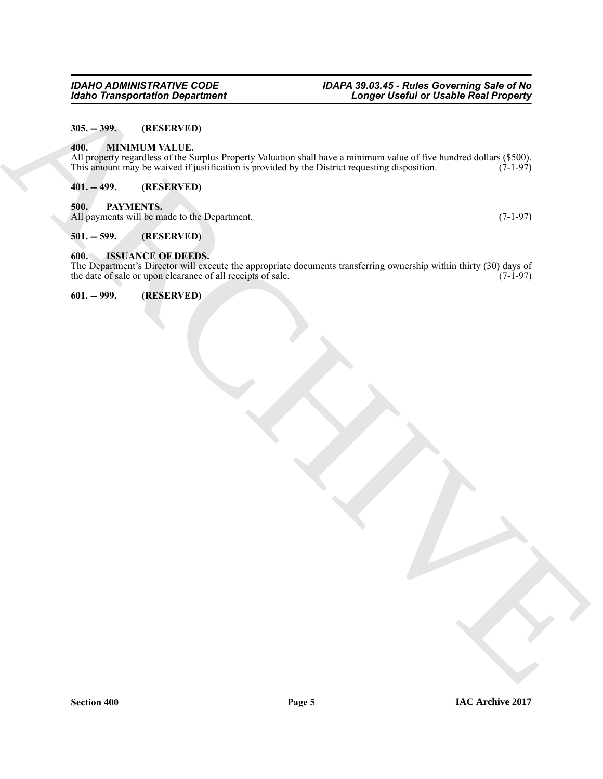# <span id="page-4-0"></span>**305. -- 399. (RESERVED)**

## <span id="page-4-8"></span><span id="page-4-1"></span>**400. MINIMUM VALUE.**

**Each Transportation Department**<br>
MS - 299.<br>
MISS CONTEXT USED TO CONTEXT VALUE of the Context of Land Context of Land Chive landed solidar (S500,<br>
ARCHIVEN VALUE of Landed Context of Land Context of Landed Context of Lan All property regardless of the Surplus Property Valuation shall have a minimum value of five hundred dollars (\$500).<br>This amount may be waived if justification is provided by the District requesting disposition. (7-1-97) This amount may be waived if justification is provided by the District requesting disposition.

# <span id="page-4-2"></span>**401. -- 499. (RESERVED)**

<span id="page-4-9"></span><span id="page-4-3"></span>**500. PAYMENTS.**

All payments will be made to the Department. (7-1-97)

# <span id="page-4-4"></span>**501. -- 599. (RESERVED)**

# <span id="page-4-7"></span><span id="page-4-5"></span>**600. ISSUANCE OF DEEDS.**

The Department's Director will execute the appropriate documents transferring ownership within thirty (30) days of the date of sale or upon clearance of all receipts of sale. (7-1-97) the date of sale or upon clearance of all receipts of sale.

<span id="page-4-6"></span>**601. -- 999. (RESERVED)**